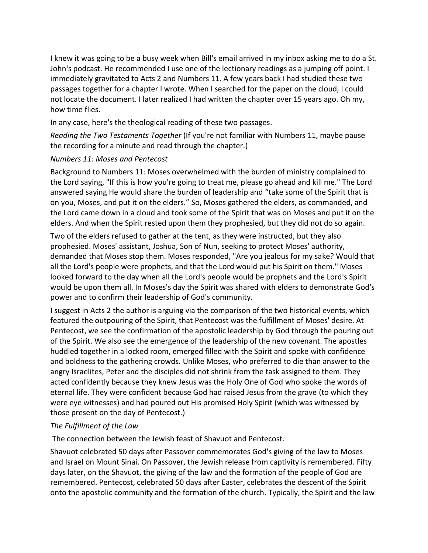I knew it was going to be a busy week when Bill's email arrived in my inbox asking me to do a St. John's podcast. He recommended I use one of the lectionary readings as a jumping off point. I immediately gravitated to Acts 2 and Numbers 11. A few years back I had studied these two passages together for a chapter I wrote. When I searched for the paper on the cloud, I could not locate the document. I later realized I had written the chapter over 15 years ago. Oh my, how time flies.

In any case, here's the theological reading of these two passages.

*Reading the Two Testaments Together* (If you're not familiar with Numbers 11, maybe pause the recording for a minute and read through the chapter.)

## *Numbers 11: Moses and Pentecost*

Background to Numbers 11: Moses overwhelmed with the burden of ministry complained to the Lord saying, "If this is how you're going to treat me, please go ahead and kill me." The Lord answered saying He would share the burden of leadership and "take some of the Spirit that is on you, Moses, and put it on the elders." So, Moses gathered the elders, as commanded, and the Lord came down in a cloud and took some of the Spirit that was on Moses and put it on the elders. And when the Spirit rested upon them they prophesied, but they did not do so again.

Two of the elders refused to gather at the tent, as they were instructed, but they also prophesied. Moses' assistant, Joshua, Son of Nun, seeking to protect Moses' authority, demanded that Moses stop them. Moses responded, "Are you jealous for my sake? Would that all the Lord's people were prophets, and that the Lord would put his Spirit on them." Moses looked forward to the day when all the Lord's people would be prophets and the Lord's Spirit would be upon them all. In Moses's day the Spirit was shared with elders to demonstrate God's power and to confirm their leadership of God's community.

I suggest in Acts 2 the author is arguing via the comparison of the two historical events, which featured the outpouring of the Spirit, that Pentecost was the fulfillment of Moses' desire. At Pentecost, we see the confirmation of the apostolic leadership by God through the pouring out of the Spirit. We also see the emergence of the leadership of the new covenant. The apostles huddled together in a locked room, emerged filled with the Spirit and spoke with confidence and boldness to the gathering crowds. Unlike Moses, who preferred to die than answer to the angry Israelites, Peter and the disciples did not shrink from the task assigned to them. They acted confidently because they knew Jesus was the Holy One of God who spoke the words of eternal life. They were confident because God had raised Jesus from the grave (to which they were eye witnesses) and had poured out His promised Holy Spirit (which was witnessed by those present on the day of Pentecost.)

## *The Fulfillment of the Law*

The connection between the Jewish feast of Shavuot and Pentecost.

Shavuot celebrated 50 days after Passover commemorates God's giving of the law to Moses and Israel on Mount Sinai. On Passover, the Jewish release from captivity is remembered. Fifty days later, on the Shavuot, the giving of the law and the formation of the people of God are remembered. Pentecost, celebrated 50 days after Easter, celebrates the descent of the Spirit onto the apostolic community and the formation of the church. Typically, the Spirit and the law